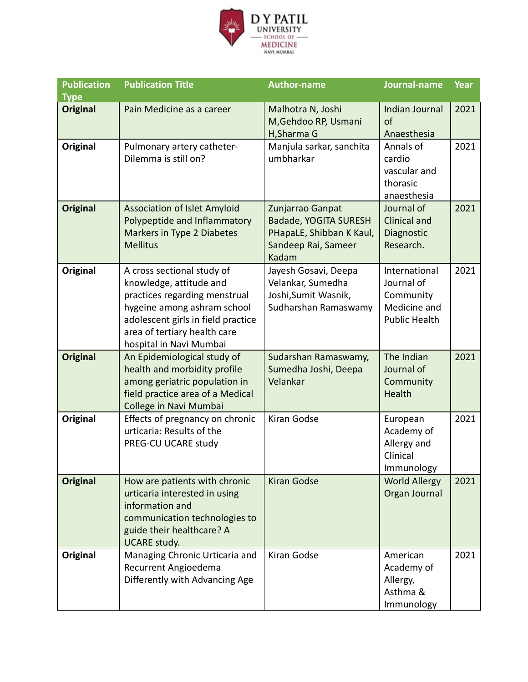

| <b>Publication</b> | <b>Publication Title</b>                                                                                                                                                                                               | <b>Author-name</b>                                                                                    | Journal-name                                                                     | Year |
|--------------------|------------------------------------------------------------------------------------------------------------------------------------------------------------------------------------------------------------------------|-------------------------------------------------------------------------------------------------------|----------------------------------------------------------------------------------|------|
| <b>Type</b>        |                                                                                                                                                                                                                        |                                                                                                       |                                                                                  |      |
| <b>Original</b>    | Pain Medicine as a career                                                                                                                                                                                              | Malhotra N, Joshi<br>M, Gehdoo RP, Usmani                                                             | Indian Journal<br>of                                                             | 2021 |
|                    |                                                                                                                                                                                                                        | H, Sharma G                                                                                           | Anaesthesia                                                                      |      |
| Original           | Pulmonary artery catheter-<br>Dilemma is still on?                                                                                                                                                                     | Manjula sarkar, sanchita<br>umbharkar                                                                 | Annals of<br>cardio<br>vascular and<br>thorasic<br>anaesthesia                   | 2021 |
| <b>Original</b>    | <b>Association of Islet Amyloid</b><br>Polypeptide and Inflammatory<br>Markers in Type 2 Diabetes<br><b>Mellitus</b>                                                                                                   | Zunjarrao Ganpat<br>Badade, YOGITA SURESH<br>PHapaLE, Shibban K Kaul,<br>Sandeep Rai, Sameer<br>Kadam | Journal of<br><b>Clinical and</b><br>Diagnostic<br>Research.                     | 2021 |
| Original           | A cross sectional study of<br>knowledge, attitude and<br>practices regarding menstrual<br>hygeine among ashram school<br>adolescent girls in field practice<br>area of tertiary health care<br>hospital in Navi Mumbai | Jayesh Gosavi, Deepa<br>Velankar, Sumedha<br>Joshi, Sumit Wasnik,<br>Sudharshan Ramaswamy             | International<br>Journal of<br>Community<br>Medicine and<br><b>Public Health</b> | 2021 |
| <b>Original</b>    | An Epidemiological study of<br>health and morbidity profile<br>among geriatric population in<br>field practice area of a Medical<br>College in Navi Mumbai                                                             | Sudarshan Ramaswamy,<br>Sumedha Joshi, Deepa<br>Velankar                                              | The Indian<br>Journal of<br>Community<br>Health                                  | 2021 |
| <b>Original</b>    | Effects of pregnancy on chronic<br>urticaria: Results of the<br>PREG-CU UCARE study                                                                                                                                    | Kiran Godse                                                                                           | European<br>Academy of<br>Allergy and<br>Clinical<br>Immunology                  | 2021 |
| <b>Original</b>    | How are patients with chronic<br>urticaria interested in using<br>information and<br>communication technologies to<br>guide their healthcare? A<br><b>UCARE study.</b>                                                 | <b>Kiran Godse</b>                                                                                    | <b>World Allergy</b><br>Organ Journal                                            | 2021 |
| <b>Original</b>    | Managing Chronic Urticaria and<br>Recurrent Angioedema<br>Differently with Advancing Age                                                                                                                               | Kiran Godse                                                                                           | American<br>Academy of<br>Allergy,<br>Asthma &<br>Immunology                     | 2021 |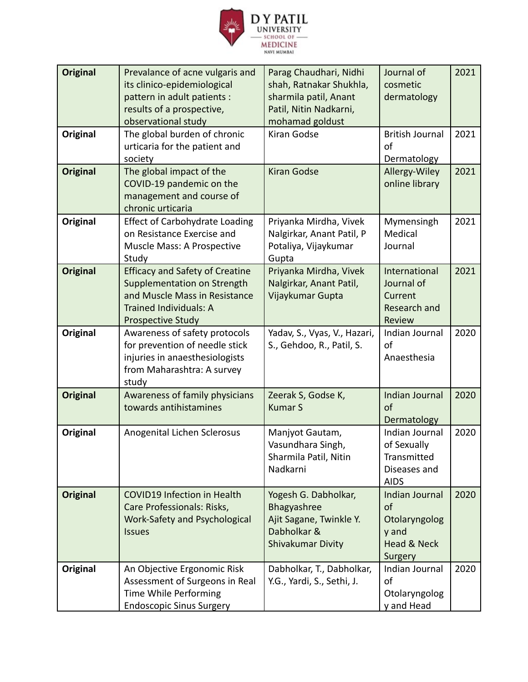

| <b>Original</b><br>Original | Prevalance of acne vulgaris and<br>its clinico-epidemiological<br>pattern in adult patients :<br>results of a prospective,<br>observational study<br>The global burden of chronic | Parag Chaudhari, Nidhi<br>shah, Ratnakar Shukhla,<br>sharmila patil, Anant<br>Patil, Nitin Nadkarni,<br>mohamad goldust<br>Kiran Godse | Journal of<br>cosmetic<br>dermatology<br><b>British Journal</b>                            | 2021<br>2021 |
|-----------------------------|-----------------------------------------------------------------------------------------------------------------------------------------------------------------------------------|----------------------------------------------------------------------------------------------------------------------------------------|--------------------------------------------------------------------------------------------|--------------|
|                             | urticaria for the patient and<br>society                                                                                                                                          |                                                                                                                                        | of<br>Dermatology                                                                          |              |
| <b>Original</b>             | The global impact of the<br>COVID-19 pandemic on the<br>management and course of<br>chronic urticaria                                                                             | <b>Kiran Godse</b>                                                                                                                     | Allergy-Wiley<br>online library                                                            | 2021         |
| Original                    | <b>Effect of Carbohydrate Loading</b><br>on Resistance Exercise and<br>Muscle Mass: A Prospective<br>Study                                                                        | Priyanka Mirdha, Vivek<br>Nalgirkar, Anant Patil, P<br>Potaliya, Vijaykumar<br>Gupta                                                   | Mymensingh<br>Medical<br>Journal                                                           | 2021         |
| <b>Original</b>             | <b>Efficacy and Safety of Creatine</b><br>Supplementation on Strength<br>and Muscle Mass in Resistance<br><b>Trained Individuals: A</b><br><b>Prospective Study</b>               | Priyanka Mirdha, Vivek<br>Nalgirkar, Anant Patil,<br>Vijaykumar Gupta                                                                  | International<br>Journal of<br>Current<br>Research and<br>Review                           | 2021         |
| Original                    | Awareness of safety protocols<br>for prevention of needle stick<br>injuries in anaesthesiologists<br>from Maharashtra: A survey<br>study                                          | Yadav, S., Vyas, V., Hazari,<br>S., Gehdoo, R., Patil, S.                                                                              | Indian Journal<br>of<br>Anaesthesia                                                        | 2020         |
| <b>Original</b>             | Awareness of family physicians<br>towards antihistamines                                                                                                                          | Zeerak S, Godse K,<br><b>Kumar S</b>                                                                                                   | Indian Journal<br>of<br>Dermatology                                                        | 2020         |
| Original                    | Anogenital Lichen Sclerosus                                                                                                                                                       | Manjyot Gautam,<br>Vasundhara Singh,<br>Sharmila Patil, Nitin<br>Nadkarni                                                              | Indian Journal<br>of Sexually<br>Transmitted<br>Diseases and<br><b>AIDS</b>                | 2020         |
| <b>Original</b>             | <b>COVID19 Infection in Health</b><br>Care Professionals: Risks,<br>Work-Safety and Psychological<br><b>Issues</b>                                                                | Yogesh G. Dabholkar,<br>Bhagyashree<br>Ajit Sagane, Twinkle Y.<br>Dabholkar &<br>Shivakumar Divity                                     | <b>Indian Journal</b><br>of<br>Otolaryngolog<br>y and<br><b>Head &amp; Neck</b><br>Surgery | 2020         |
| Original                    | An Objective Ergonomic Risk<br>Assessment of Surgeons in Real<br>Time While Performing<br><b>Endoscopic Sinus Surgery</b>                                                         | Dabholkar, T., Dabholkar,<br>Y.G., Yardi, S., Sethi, J.                                                                                | Indian Journal<br>of<br>Otolaryngolog<br>y and Head                                        | 2020         |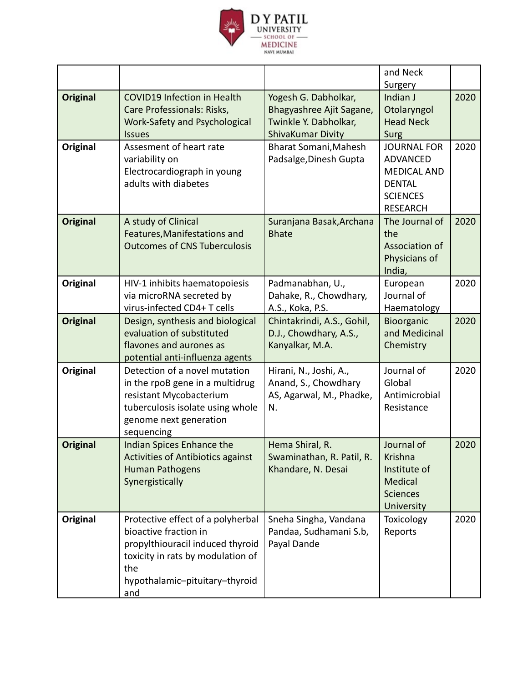

|                 |                                                                                                                                                                                     |                                                                                                | and Neck<br>Surgery                                                                                                |      |
|-----------------|-------------------------------------------------------------------------------------------------------------------------------------------------------------------------------------|------------------------------------------------------------------------------------------------|--------------------------------------------------------------------------------------------------------------------|------|
| <b>Original</b> | <b>COVID19 Infection in Health</b><br>Care Professionals: Risks,<br><b>Work-Safety and Psychological</b><br><b>Issues</b>                                                           | Yogesh G. Dabholkar,<br>Bhagyashree Ajit Sagane,<br>Twinkle Y. Dabholkar,<br>ShivaKumar Divity | Indian J<br>Otolaryngol<br><b>Head Neck</b><br>Surg                                                                | 2020 |
| Original        | Assesment of heart rate<br>variability on<br>Electrocardiograph in young<br>adults with diabetes                                                                                    | Bharat Somani, Mahesh<br>Padsalge, Dinesh Gupta                                                | <b>JOURNAL FOR</b><br><b>ADVANCED</b><br><b>MEDICAL AND</b><br><b>DENTAL</b><br><b>SCIENCES</b><br><b>RESEARCH</b> | 2020 |
| <b>Original</b> | A study of Clinical<br>Features, Manifestations and<br><b>Outcomes of CNS Tuberculosis</b>                                                                                          | Suranjana Basak, Archana<br><b>Bhate</b>                                                       | The Journal of<br>the<br>Association of<br>Physicians of<br>India,                                                 | 2020 |
| Original        | HIV-1 inhibits haematopoiesis<br>via microRNA secreted by<br>virus-infected CD4+ T cells                                                                                            | Padmanabhan, U.,<br>Dahake, R., Chowdhary,<br>A.S., Koka, P.S.                                 | European<br>Journal of<br>Haematology                                                                              | 2020 |
| <b>Original</b> | Design, synthesis and biological<br>evaluation of substituted<br>flavones and aurones as<br>potential anti-influenza agents                                                         | Chintakrindi, A.S., Gohil,<br>D.J., Chowdhary, A.S.,<br>Kanyalkar, M.A.                        | Bioorganic<br>and Medicinal<br>Chemistry                                                                           | 2020 |
| Original        | Detection of a novel mutation<br>in the rpoB gene in a multidrug<br>resistant Mycobacterium<br>tuberculosis isolate using whole<br>genome next generation<br>sequencing             | Hirani, N., Joshi, A.,<br>Anand, S., Chowdhary<br>AS, Agarwal, M., Phadke,<br>N.               | Journal of<br>Global<br>Antimicrobial<br>Resistance                                                                | 2020 |
| <b>Original</b> | Indian Spices Enhance the<br><b>Activities of Antibiotics against</b><br><b>Human Pathogens</b><br>Synergistically                                                                  | Hema Shiral, R.<br>Swaminathan, R. Patil, R.<br>Khandare, N. Desai                             | Journal of<br><b>Krishna</b><br>Institute of<br><b>Medical</b><br><b>Sciences</b><br>University                    | 2020 |
| <b>Original</b> | Protective effect of a polyherbal<br>bioactive fraction in<br>propylthiouracil induced thyroid<br>toxicity in rats by modulation of<br>the<br>hypothalamic-pituitary-thyroid<br>and | Sneha Singha, Vandana<br>Pandaa, Sudhamani S.b,<br>Payal Dande                                 | Toxicology<br>Reports                                                                                              | 2020 |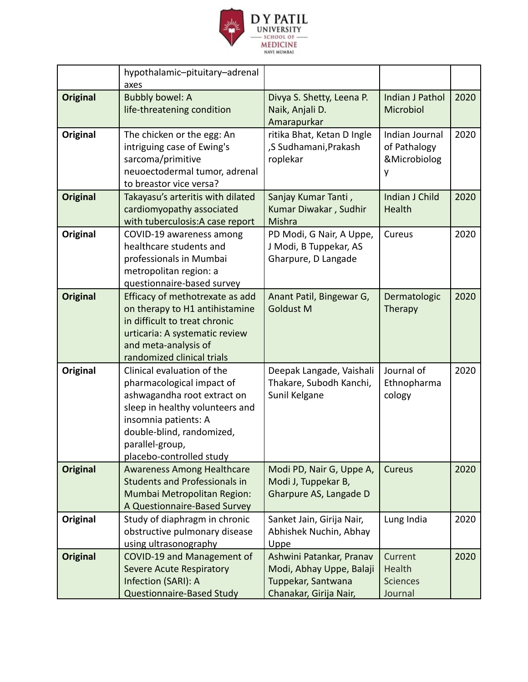

|                 | hypothalamic-pituitary-adrenal<br>axes                                                                                                                                                                                        |                                                                                                      |                                                     |      |
|-----------------|-------------------------------------------------------------------------------------------------------------------------------------------------------------------------------------------------------------------------------|------------------------------------------------------------------------------------------------------|-----------------------------------------------------|------|
| <b>Original</b> | <b>Bubbly bowel: A</b><br>life-threatening condition                                                                                                                                                                          | Divya S. Shetty, Leena P.<br>Naik, Anjali D.<br>Amarapurkar                                          | <b>Indian J Pathol</b><br>Microbiol                 | 2020 |
| Original        | The chicken or the egg: An<br>intriguing case of Ewing's<br>sarcoma/primitive<br>neuoectodermal tumor, adrenal<br>to breastor vice versa?                                                                                     | ritika Bhat, Ketan D Ingle<br>,S Sudhamani, Prakash<br>roplekar                                      | Indian Journal<br>of Pathalogy<br>&Microbiolog<br>y | 2020 |
| <b>Original</b> | Takayasu's arteritis with dilated<br>cardiomyopathy associated<br>with tuberculosis: A case report                                                                                                                            | Sanjay Kumar Tanti,<br>Kumar Diwakar, Sudhir<br>Mishra                                               | Indian J Child<br>Health                            | 2020 |
| Original        | COVID-19 awareness among<br>healthcare students and<br>professionals in Mumbai<br>metropolitan region: a<br>questionnaire-based survey                                                                                        | PD Modi, G Nair, A Uppe,<br>J Modi, B Tuppekar, AS<br>Gharpure, D Langade                            | Cureus                                              | 2020 |
| <b>Original</b> | Efficacy of methotrexate as add<br>on therapy to H1 antihistamine<br>in difficult to treat chronic<br>urticaria: A systematic review<br>and meta-analysis of<br>randomized clinical trials                                    | Anant Patil, Bingewar G,<br><b>Goldust M</b>                                                         | Dermatologic<br>Therapy                             | 2020 |
| Original        | Clinical evaluation of the<br>pharmacological impact of<br>ashwagandha root extract on<br>sleep in healthy volunteers and<br>insomnia patients: A<br>double-blind, randomized,<br>parallel-group,<br>placebo-controlled study | Deepak Langade, Vaishali<br>Thakare, Subodh Kanchi,<br>Sunil Kelgane                                 | Journal of<br>Ethnopharma<br>cology                 | 2020 |
| <b>Original</b> | <b>Awareness Among Healthcare</b><br><b>Students and Professionals in</b><br>Mumbai Metropolitan Region:<br>A Questionnaire-Based Survey                                                                                      | Modi PD, Nair G, Uppe A,<br>Modi J, Tuppekar B,<br>Gharpure AS, Langade D                            | Cureus                                              | 2020 |
| Original        | Study of diaphragm in chronic<br>obstructive pulmonary disease<br>using ultrasonography                                                                                                                                       | Sanket Jain, Girija Nair,<br>Abhishek Nuchin, Abhay<br>Uppe                                          | Lung India                                          | 2020 |
| <b>Original</b> | COVID-19 and Management of<br><b>Severe Acute Respiratory</b><br>Infection (SARI): A<br><b>Questionnaire-Based Study</b>                                                                                                      | Ashwini Patankar, Pranav<br>Modi, Abhay Uppe, Balaji<br>Tuppekar, Santwana<br>Chanakar, Girija Nair, | Current<br>Health<br><b>Sciences</b><br>Journal     | 2020 |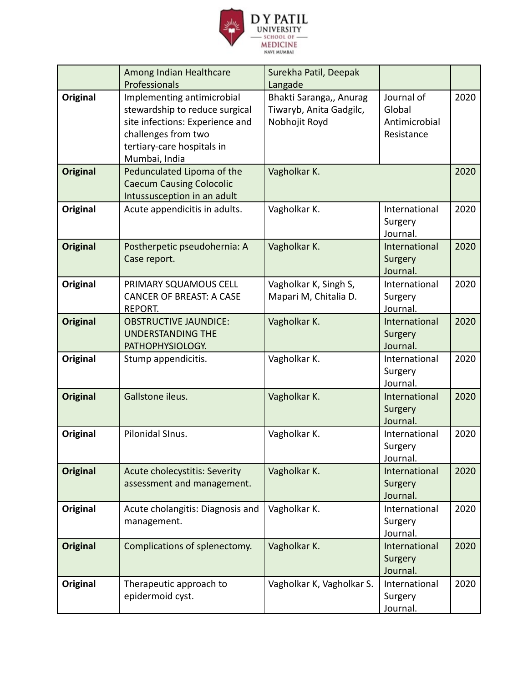

|                 | Among Indian Healthcare<br>Professionals                                                                                                                              | Surekha Patil, Deepak<br>Langade                                    |                                                     |      |
|-----------------|-----------------------------------------------------------------------------------------------------------------------------------------------------------------------|---------------------------------------------------------------------|-----------------------------------------------------|------|
| <b>Original</b> | Implementing antimicrobial<br>stewardship to reduce surgical<br>site infections: Experience and<br>challenges from two<br>tertiary-care hospitals in<br>Mumbai, India | Bhakti Saranga,, Anurag<br>Tiwaryb, Anita Gadgilc,<br>Nobhojit Royd | Journal of<br>Global<br>Antimicrobial<br>Resistance | 2020 |
| <b>Original</b> | Pedunculated Lipoma of the<br><b>Caecum Causing Colocolic</b><br>Intussusception in an adult                                                                          | Vagholkar K.                                                        |                                                     | 2020 |
| Original        | Acute appendicitis in adults.                                                                                                                                         | Vagholkar K.                                                        | International<br>Surgery<br>Journal.                | 2020 |
| <b>Original</b> | Postherpetic pseudohernia: A<br>Case report.                                                                                                                          | Vagholkar K.                                                        | International<br>Surgery<br>Journal.                | 2020 |
| <b>Original</b> | PRIMARY SQUAMOUS CELL<br><b>CANCER OF BREAST: A CASE</b><br>REPORT.                                                                                                   | Vagholkar K, Singh S,<br>Mapari M, Chitalia D.                      | International<br>Surgery<br>Journal.                | 2020 |
| <b>Original</b> | <b>OBSTRUCTIVE JAUNDICE:</b><br><b>UNDERSTANDING THE</b><br>PATHOPHYSIOLOGY.                                                                                          | Vagholkar K.                                                        | International<br>Surgery<br>Journal.                | 2020 |
| Original        | Stump appendicitis.                                                                                                                                                   | Vagholkar K.                                                        | International<br>Surgery<br>Journal.                | 2020 |
| <b>Original</b> | Gallstone ileus.                                                                                                                                                      | Vagholkar K.                                                        | International<br>Surgery<br>Journal.                | 2020 |
| Original        | Pilonidal SInus.                                                                                                                                                      | Vagholkar K.                                                        | International<br>Surgery<br>Journal.                | 2020 |
| <b>Original</b> | <b>Acute cholecystitis: Severity</b><br>assessment and management.                                                                                                    | Vagholkar K.                                                        | International<br>Surgery<br>Journal.                | 2020 |
| Original        | Acute cholangitis: Diagnosis and<br>management.                                                                                                                       | Vagholkar K.                                                        | International<br>Surgery<br>Journal.                | 2020 |
| <b>Original</b> | Complications of splenectomy.                                                                                                                                         | Vagholkar K.                                                        | International<br>Surgery<br>Journal.                | 2020 |
| Original        | Therapeutic approach to<br>epidermoid cyst.                                                                                                                           | Vagholkar K, Vagholkar S.                                           | International<br>Surgery<br>Journal.                | 2020 |